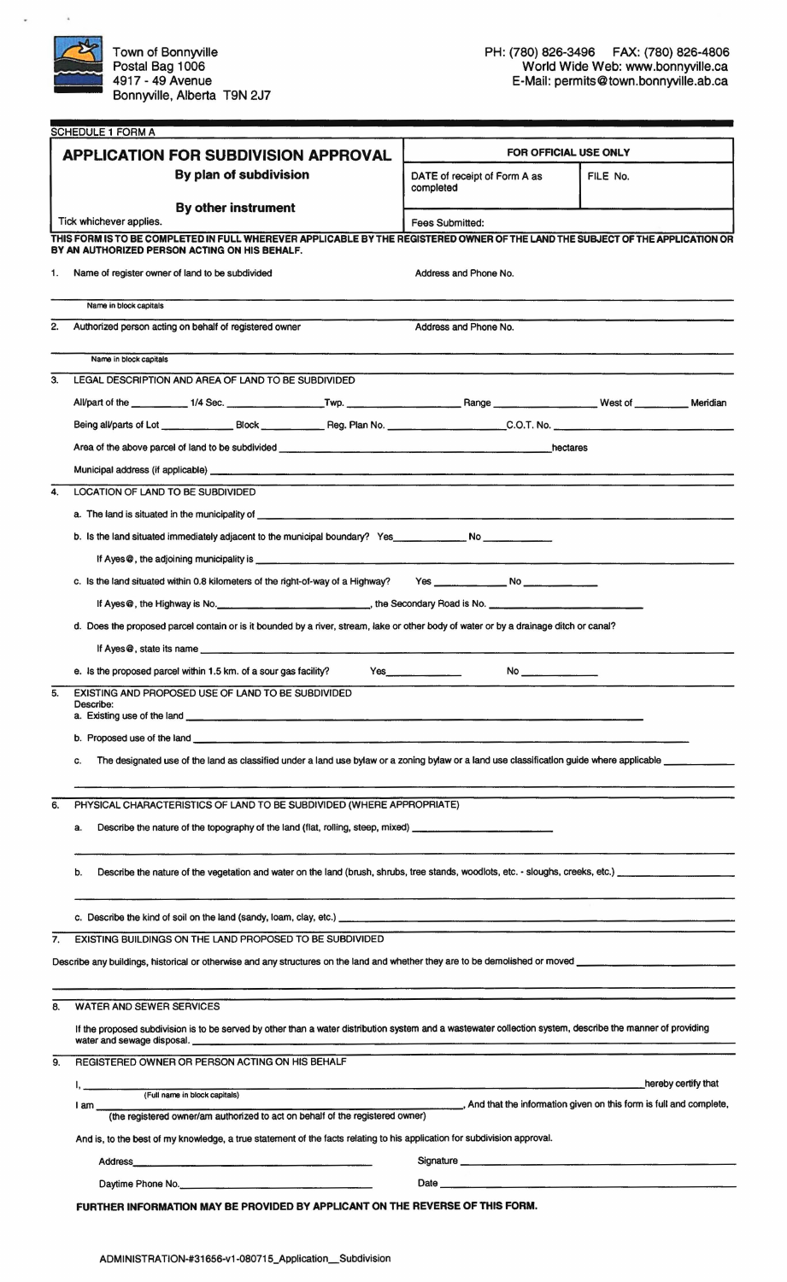

 $\overline{\phantom{a}}$ 

|                        | <b>APPLICATION FOR SUBDIVISION APPROVAL</b>                                                                                                                                                                                                                                                                   |                                                                                                                                                                                                                                | <b>FOR OFFICIAL USE ONLY</b>                                        |  |  |  |  |
|------------------------|---------------------------------------------------------------------------------------------------------------------------------------------------------------------------------------------------------------------------------------------------------------------------------------------------------------|--------------------------------------------------------------------------------------------------------------------------------------------------------------------------------------------------------------------------------|---------------------------------------------------------------------|--|--|--|--|
| By plan of subdivision |                                                                                                                                                                                                                                                                                                               | DATE of receipt of Form A as<br>completed                                                                                                                                                                                      | FILE No.                                                            |  |  |  |  |
|                        | <b>By other instrument</b><br>Tick whichever applies.                                                                                                                                                                                                                                                         | Fees Submitted:                                                                                                                                                                                                                |                                                                     |  |  |  |  |
|                        | THIS FORM IS TO BE COMPLETED IN FULL WHEREVER APPLICABLE BY THE REGISTERED OWNER OF THE LAND THE SUBJECT OF THE APPLICATION OR                                                                                                                                                                                |                                                                                                                                                                                                                                |                                                                     |  |  |  |  |
| 1.                     | BY AN AUTHORIZED PERSON ACTING ON HIS BEHALF.<br>Name of register owner of land to be subdivided                                                                                                                                                                                                              | Address and Phone No.                                                                                                                                                                                                          |                                                                     |  |  |  |  |
|                        |                                                                                                                                                                                                                                                                                                               |                                                                                                                                                                                                                                |                                                                     |  |  |  |  |
|                        | Name in block capitals                                                                                                                                                                                                                                                                                        |                                                                                                                                                                                                                                |                                                                     |  |  |  |  |
| 2.                     | Authorized person acting on behalf of registered owner                                                                                                                                                                                                                                                        | Address and Phone No.                                                                                                                                                                                                          |                                                                     |  |  |  |  |
|                        | Name in block capitals                                                                                                                                                                                                                                                                                        |                                                                                                                                                                                                                                |                                                                     |  |  |  |  |
| З.                     | LEGAL DESCRIPTION AND AREA OF LAND TO BE SUBDIVIDED                                                                                                                                                                                                                                                           |                                                                                                                                                                                                                                |                                                                     |  |  |  |  |
|                        |                                                                                                                                                                                                                                                                                                               |                                                                                                                                                                                                                                |                                                                     |  |  |  |  |
|                        |                                                                                                                                                                                                                                                                                                               |                                                                                                                                                                                                                                |                                                                     |  |  |  |  |
|                        | hectares                                                                                                                                                                                                                                                                                                      |                                                                                                                                                                                                                                |                                                                     |  |  |  |  |
|                        | Municipal address (if applicable) expression and the contract of the contract of the contract of the contract of the contract of the contract of the contract of the contract of the contract of the contract of the contract                                                                                 |                                                                                                                                                                                                                                |                                                                     |  |  |  |  |
| 4.                     | LOCATION OF LAND TO BE SUBDIVIDED                                                                                                                                                                                                                                                                             |                                                                                                                                                                                                                                |                                                                     |  |  |  |  |
|                        | a. The land is situated in the municipality of <b>contained and all the contained and all the contained and all the contained and all the contact of the contact of the contact of the contact of the contact of the contact of </b>                                                                          |                                                                                                                                                                                                                                |                                                                     |  |  |  |  |
|                        | b. Is the land situated immediately adjacent to the municipal boundary? Yes________________ No _______________                                                                                                                                                                                                |                                                                                                                                                                                                                                |                                                                     |  |  |  |  |
|                        |                                                                                                                                                                                                                                                                                                               |                                                                                                                                                                                                                                |                                                                     |  |  |  |  |
|                        | c. Is the land situated within 0.8 kilometers of the right-of-way of a Highway?                                                                                                                                                                                                                               |                                                                                                                                                                                                                                |                                                                     |  |  |  |  |
|                        |                                                                                                                                                                                                                                                                                                               |                                                                                                                                                                                                                                |                                                                     |  |  |  |  |
|                        | d. Does the proposed parcel contain or is it bounded by a river, stream, lake or other body of water or by a drainage ditch or canal?                                                                                                                                                                         |                                                                                                                                                                                                                                |                                                                     |  |  |  |  |
|                        |                                                                                                                                                                                                                                                                                                               |                                                                                                                                                                                                                                |                                                                     |  |  |  |  |
|                        | e. Is the proposed parcel within 1.5 km. of a sour gas facility?<br><b>Yes</b> and the second second second second second second second second second second second second second second second second second second second second second second second second second second second second second secon<br>No |                                                                                                                                                                                                                                |                                                                     |  |  |  |  |
|                        | EXISTING AND PROPOSED USE OF LAND TO BE SUBDIVIDED                                                                                                                                                                                                                                                            |                                                                                                                                                                                                                                |                                                                     |  |  |  |  |
| 5.                     | Describe:                                                                                                                                                                                                                                                                                                     |                                                                                                                                                                                                                                |                                                                     |  |  |  |  |
|                        | b. Proposed use of the land <b>the contract of the contract of the contract of the contract of the contract of the contract of the contract of the contract of the contract of the contract of the contract of the contract of t</b>                                                                          |                                                                                                                                                                                                                                |                                                                     |  |  |  |  |
|                        | The designated use of the land as classified under a land use bylaw or a zoning bylaw or a land use classification guide where applicable ______________________<br>C.                                                                                                                                        |                                                                                                                                                                                                                                |                                                                     |  |  |  |  |
|                        |                                                                                                                                                                                                                                                                                                               |                                                                                                                                                                                                                                |                                                                     |  |  |  |  |
| 6.                     | PHYSICAL CHARACTERISTICS OF LAND TO BE SUBDIVIDED (WHERE APPROPRIATE)                                                                                                                                                                                                                                         |                                                                                                                                                                                                                                |                                                                     |  |  |  |  |
|                        | a.                                                                                                                                                                                                                                                                                                            |                                                                                                                                                                                                                                |                                                                     |  |  |  |  |
|                        | Describe the nature of the vegetation and water on the land (brush, shrubs, tree stands, woodlots, etc. - sloughs, creeks, etc.)<br>b.                                                                                                                                                                        |                                                                                                                                                                                                                                |                                                                     |  |  |  |  |
|                        |                                                                                                                                                                                                                                                                                                               |                                                                                                                                                                                                                                |                                                                     |  |  |  |  |
|                        |                                                                                                                                                                                                                                                                                                               |                                                                                                                                                                                                                                |                                                                     |  |  |  |  |
| 7.                     | EXISTING BUILDINGS ON THE LAND PROPOSED TO BE SUBDIVIDED                                                                                                                                                                                                                                                      |                                                                                                                                                                                                                                |                                                                     |  |  |  |  |
|                        |                                                                                                                                                                                                                                                                                                               |                                                                                                                                                                                                                                |                                                                     |  |  |  |  |
| 8.                     | WATER AND SEWER SERVICES                                                                                                                                                                                                                                                                                      |                                                                                                                                                                                                                                |                                                                     |  |  |  |  |
|                        | If the proposed subdivision is to be served by other than a water distribution system and a wastewater collection system, describe the manner of providing                                                                                                                                                    |                                                                                                                                                                                                                                |                                                                     |  |  |  |  |
| 9.                     | REGISTERED OWNER OR PERSON ACTING ON HIS BEHALF                                                                                                                                                                                                                                                               |                                                                                                                                                                                                                                |                                                                     |  |  |  |  |
|                        | (Full name in block capitals)                                                                                                                                                                                                                                                                                 |                                                                                                                                                                                                                                | hereby certify that                                                 |  |  |  |  |
|                        | lam<br>(the registered owner/am authorized to act on behalf of the registered owner)                                                                                                                                                                                                                          |                                                                                                                                                                                                                                | , And that the information given on this form is full and complete, |  |  |  |  |
|                        |                                                                                                                                                                                                                                                                                                               |                                                                                                                                                                                                                                |                                                                     |  |  |  |  |
|                        | And is, to the best of my knowledge, a true statement of the facts relating to his application for subdivision approval.                                                                                                                                                                                      |                                                                                                                                                                                                                                |                                                                     |  |  |  |  |
|                        |                                                                                                                                                                                                                                                                                                               | Signature experience and the state of the state of the state of the state of the state of the state of the state of the state of the state of the state of the state of the state of the state of the state of the state of th |                                                                     |  |  |  |  |
|                        | Daytime Phone No.                                                                                                                                                                                                                                                                                             |                                                                                                                                                                                                                                |                                                                     |  |  |  |  |